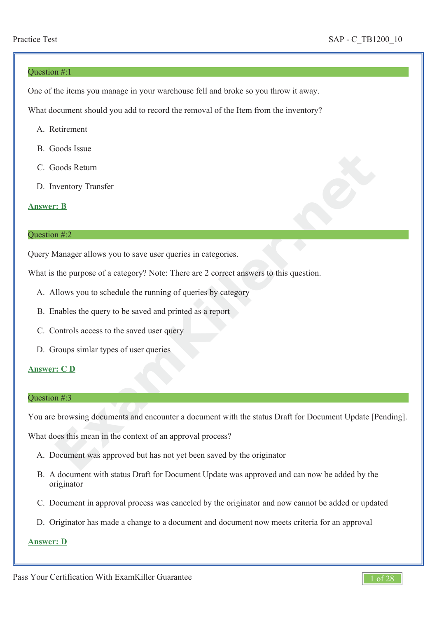#### Question #:1

One of the items you manage in your warehouse fell and broke so you throw it away.

What document should you add to record the removal of the Item from the inventory?

- A. Retirement
- B. Goods Issue
- C. Goods Return
- D. Inventory Transfer

### **Answer: B**

#### Question #:2

Query Manager allows you to save user queries in categories.

What is the purpose of a category? Note: There are 2 correct answers to this question.

- A. Allows you to schedule the running of queries by category
- B. Enables the query to be saved and printed as a report
- C. Controls access to the saved user query
- D. Groups simlar types of user queries

### **Answer: C D**

#### Question #:3

**Example 18 The Set of Set of Set of Set of Set of Set of Set of Set of Set of Set of Set of Set of Set of Set of Set of Set of Set of Set of Set of Set of Set of Set of Set of Set of Set of Set of Set of Set of Set of Set** You are browsing documents and encounter a document with the status Draft for Document Update [Pending].

What does this mean in the context of an approval process?

- A. Document was approved but has not yet been saved by the originator
- B. A document with status Draft for Document Update was approved and can now be added by the originator
- C. Document in approval process was canceled by the originator and now cannot be added or updated
- D. Originator has made a change to a document and document now meets criteria for an approval

### **Answer: D**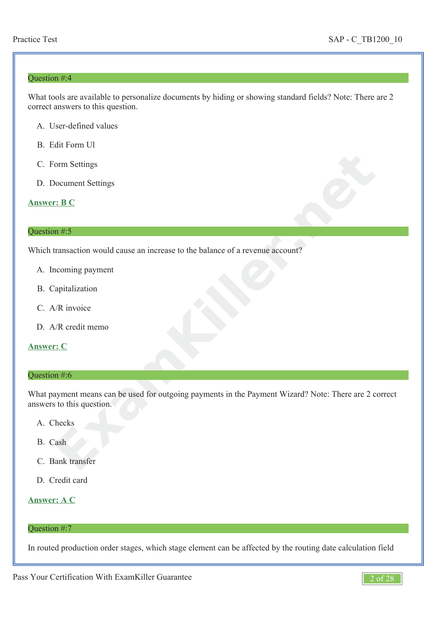### Question #:4

What tools are available to personalize documents by hiding or showing standard fields? Note: There are 2 correct answers to this question.

- A. User-defined values
- B. Edit Form Ul
- C. Form Settings
- D. Document Settings

#### **Answer: B C**

# Question #:5

Which transaction would cause an increase to the balance of a revenue account?

- A. Incoming payment
- B. Capitalization
- C. A/R invoice
- D. A/R credit memo

### **Answer: C**

#### Question #:6

Form Settings<br> **EXAMPLE 18 CONTEXT**<br> **EXAMPLE 18 CONTEXT**<br> **EXAMPLE 2018 CONTEXT**<br> **EXAMPLE 2018 CONTEXT**<br> **EXAMPLE 2018 CONTEXT**<br> **EXAMPLE 2018 CONTEXT**<br> **EXAMPLE 2018 CONTEXT**<br> **EXAMPLE 2018 CONTEXT**<br> **EXAMPLE 2018 CONTE** What payment means can be used for outgoing payments in the Payment Wizard? Note: There are 2 correct answers to this question.

- A. Checks
- B. Cash
- C. Bank transfer
- D. Credit card

### **Answer: A C**

# Question #:7

In routed production order stages, which stage element can be affected by the routing date calculation field

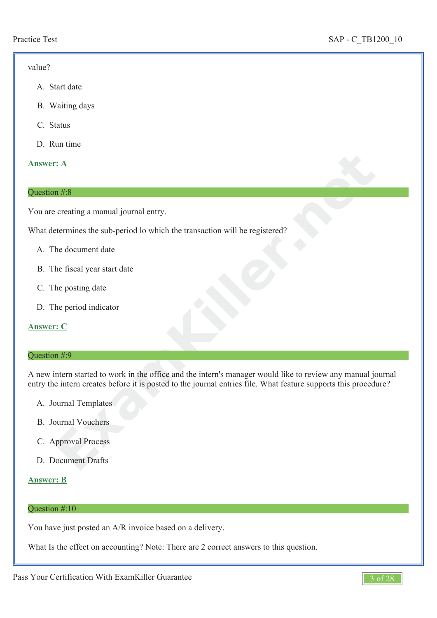### value?

- A. Start date
- B. Waiting days
- C. Status
- D. Run time

# **Answer: A**

### Question #:8

You are creating a manual journal entry.

What determines the sub-period lo which the transaction will be registered?

- A. The document date
- B. The fiscal year start date
- C. The posting date
- D. The period indicator

# **Answer: C**

# Question #:9

**Example 3.4**<br> **Example 3.4**<br> **Example 3.4**<br> **Example 3.4**<br> **Example 3.4**<br> **Example 4.5**<br> **Example 4.5**<br> **Example 4.5**<br> **Example 4.5**<br> **Example 4.5**<br> **Example 4.5**<br> **Example 4.5**<br> **Example 4.5**<br> **Example 4.5**<br> **Example 4.5** A new intern started to work in the office and the intern's manager would like to review any manual journal entry the intern creates before it is posted to the journal entries file. What feature supports this procedure?

- A. Journal Templates
- B. Journal Vouchers
- C. Approval Process
- D. Document Drafts

# **Answer: B**

### Question #:10

You have just posted an A/R invoice based on a delivery.

What Is the effect on accounting? Note: There are 2 correct answers to this question.